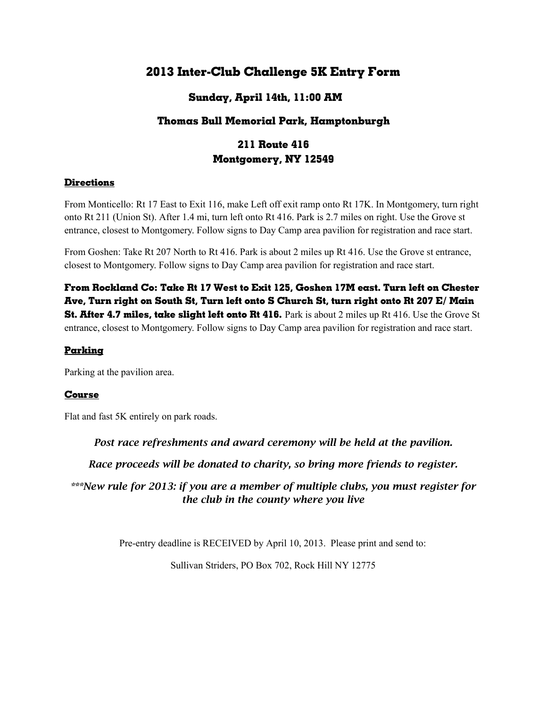# **2013 Inter-Club Challenge 5K Entry Form**

## **Sunday, April 14th, 11:00 AM**

## **Thomas Bull Memorial Park, Hamptonburgh**

# **211 Route 416 Montgomery, NY 12549**

### **Directions**

From Monticello: Rt 17 East to Exit 116, make Left off exit ramp onto Rt 17K. In Montgomery, turn right onto Rt 211 (Union St). After 1.4 mi, turn left onto Rt 416. Park is 2.7 miles on right. Use the Grove st entrance, closest to Montgomery. Follow signs to Day Camp area pavilion for registration and race start.

From Goshen: Take Rt 207 North to Rt 416. Park is about 2 miles up Rt 416. Use the Grove st entrance, closest to Montgomery. Follow signs to Day Camp area pavilion for registration and race start.

**From Rockland Co: Take Rt 17 West to Exit 125, Goshen 17M east. Turn left on Chester Ave, Turn right on South St, Turn left onto S Church St, turn right onto Rt 207 E/ Main St. After 4.7 miles, take slight left onto Rt 416.** Park is about 2 miles up Rt 416. Use the Grove St entrance, closest to Montgomery. Follow signs to Day Camp area pavilion for registration and race start.

#### **Parking**

Parking at the pavilion area.

#### **Course**

Flat and fast 5K entirely on park roads.

*Post race refreshments and award ceremony will be held at the pavilion.*

*Race proceeds will be donated to charity, so bring more friends to register.*

*\*\*\*New rule for 2013: if you are a member of multiple clubs, you must register for the club in the county where you live*

Pre-entry deadline is RECEIVED by April 10, 2013. Please print and send to:

Sullivan Striders, PO Box 702, Rock Hill NY 12775